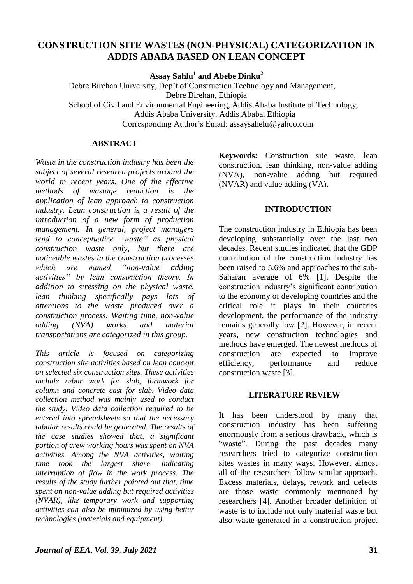# **CONSTRUCTION SITE WASTES (NON-PHYSICAL) CATEGORIZATION IN ADDIS ABABA BASED ON LEAN CONCEPT**

**Assay Sahlu<sup>1</sup> and Abebe Dinku<sup>2</sup>**

 Debre Birehan University, Dep't of Construction Technology and Management, Debre Birehan, Ethiopia School of Civil and Environmental Engineering, Addis Ababa Institute of Technology, Addis Ababa University, Addis Ababa, Ethiopia Corresponding Author's Email: [assaysahelu@yahoo.com](mailto:assaysahelu@yahoo.com)

#### **ABSTRACT**

*Waste in the construction industry has been the subject of several research projects around the world in recent years. One of the effective methods of wastage reduction is the application of lean approach to construction industry. Lean construction is a result of the introduction of a new form of production management. In general, project managers tend to conceptualize "waste" as physical construction waste only, but there are noticeable wastes in the construction processes which are named "non-value adding activities" by lean construction theory. In addition to stressing on the physical waste, lean thinking specifically pays lots of attentions to the waste produced over a construction process. Waiting time, non-value adding (NVA) works and material transportations are categorized in this group.*

*This article is focused on categorizing construction site activities based on lean concept on selected six construction sites. These activities include rebar work for slab, formwork for column and concrete cast for slab. Video data collection method was mainly used to conduct the study. Video data collection required to be entered into spreadsheets so that the necessary tabular results could be generated. The results of the case studies showed that, a significant portion of crew working hours was spent on NVA activities. Among the NVA activities, waiting time took the largest share, indicating interruption of flow in the work process. The results of the study further pointed out that, time spent on non-value adding but required activities (NVAR), like temporary work and supporting activities can also be minimized by using better technologies (materials and equipment).*

**Keywords:** Construction site waste, lean construction, lean thinking, non-value adding (NVA), non-value adding but required (NVAR) and value adding (VA).

#### **INTRODUCTION**

The construction industry in Ethiopia has been developing substantially over the last two decades. Recent studies indicated that the GDP contribution of the construction industry has been raised to 5.6% and approaches to the sub-Saharan average of 6% [1]. Despite the construction industry's significant contribution to the economy of developing countries and the critical role it plays in their countries development, the performance of the industry remains generally low [2]. However, in recent years, new construction technologies and methods have emerged. The newest methods of construction are expected to improve efficiency, performance and reduce construction waste [3].

#### **LITERATURE REVIEW**

It has been understood by many that construction industry has been suffering enormously from a serious drawback, which is "waste". During the past decades many researchers tried to categorize construction sites wastes in many ways. However, almost all of the researchers follow similar approach. Excess materials, delays, rework and defects are those waste commonly mentioned by researchers [4]. Another broader definition of waste is to include not only material waste but also waste generated in a construction project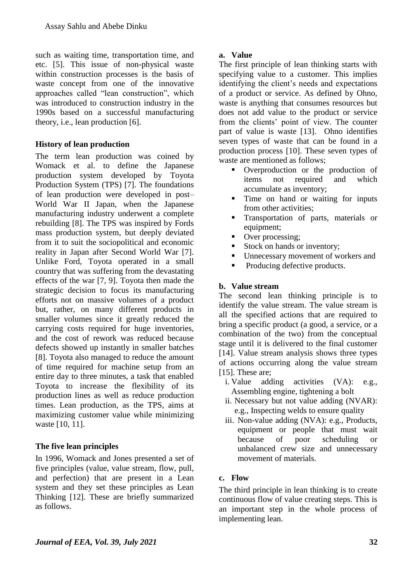such as waiting time, transportation time, and etc. [5]. This issue of non-physical waste within construction processes is the basis of waste concept from one of the innovative approaches called "lean construction", which was introduced to construction industry in the 1990s based on a successful manufacturing theory, i.e., lean production [6].

# **History of lean production**

The term lean production was coined by Womack et al. to define the Japanese production system developed by Toyota Production System (TPS) [7]. The foundations of lean production were developed in post– World War II Japan, when the Japanese manufacturing industry underwent a complete rebuilding [8]. The TPS was inspired by Fords mass production system, but deeply deviated from it to suit the sociopolitical and economic reality in Japan after Second World War [7]. Unlike Ford, Toyota operated in a small country that was suffering from the devastating effects of the war [7, 9]. Toyota then made the strategic decision to focus its manufacturing efforts not on massive volumes of a product but, rather, on many different products in smaller volumes since it greatly reduced the carrying costs required for huge inventories, and the cost of rework was reduced because defects showed up instantly in smaller batches [8]. Toyota also managed to reduce the amount of time required for machine setup from an entire day to three minutes, a task that enabled Toyota to increase the flexibility of its production lines as well as reduce production times. Lean production, as the TPS, aims at maximizing customer value while minimizing waste [10, 11].

# **The five lean principles**

In 1996, Womack and Jones presented a set of five principles (value, value stream, flow, pull, and perfection) that are present in a Lean system and they set these principles as Lean Thinking [12]. These are briefly summarized as follows.

## **a. Value**

The first principle of lean thinking starts with specifying value to a customer. This implies identifying the client's needs and expectations of a product or service. As defined by Ohno, waste is anything that consumes resources but does not add value to the product or service from the clients' point of view. The counter part of value is waste [13]. Ohno identifies seven types of waste that can be found in a production process [10]. These seven types of waste are mentioned as follows;

- Overproduction or the production of items not required and which accumulate as inventory;
- Time on hand or waiting for inputs from other activities;
- Transportation of parts, materials or equipment:
- Over processing;
- Stock on hands or inventory;
- Unnecessary movement of workers and
- Producing defective products.

# **b. Value stream**

The second lean thinking principle is to identify the value stream. The value stream is all the specified actions that are required to bring a specific product (a good, a service, or a combination of the two) from the conceptual stage until it is delivered to the final customer [14]. Value stream analysis shows three types of actions occurring along the value stream [15]. These are:

- i. Value adding activities (VA): e.g., Assembling engine, tightening a bolt
- ii. Necessary but not value adding (NVAR): e.g., Inspecting welds to ensure quality
- iii. Non-value adding (NVA): e.g., Products, equipment or people that must wait because of poor scheduling or unbalanced crew size and unnecessary movement of materials.

# **c. Flow**

The third principle in lean thinking is to create continuous flow of value creating steps. This is an important step in the whole process of implementing lean.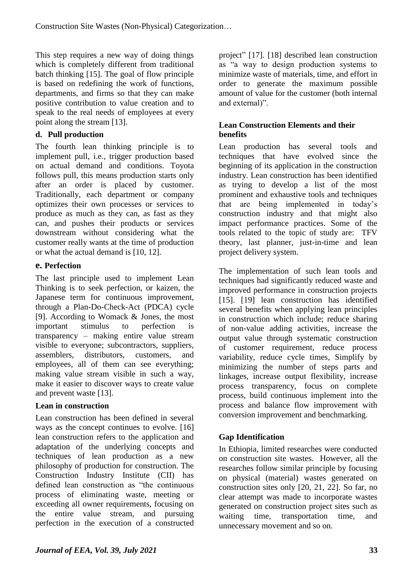This step requires a new way of doing things which is completely different from traditional batch thinking [15]. The goal of flow principle is based on redefining the work of functions, departments, and firms so that they can make positive contribution to value creation and to speak to the real needs of employees at every point along the stream [13].

# **d. Pull production**

The fourth lean thinking principle is to implement pull, i.e., trigger production based on actual demand and conditions. Toyota follows pull, this means production starts only after an order is placed by customer. Traditionally, each department or company optimizes their own processes or services to produce as much as they can, as fast as they can, and pushes their products or services downstream without considering what the customer really wants at the time of production or what the actual demand is [10, 12].

## **e. Perfection**

The last principle used to implement Lean Thinking is to seek perfection, or kaizen, the Japanese term for continuous improvement, through a Plan-Do-Check-Act (PDCA) cycle [9]. According to Womack & Jones, the most important stimulus to perfection is transparency – making entire value stream visible to everyone; subcontractors, suppliers, assemblers, distributors, customers, and employees, all of them can see everything; making value stream visible in such a way, make it easier to discover ways to create value and prevent waste [13].

# **Lean in construction**

Lean construction has been defined in several ways as the concept continues to evolve. [16] lean construction refers to the application and adaptation of the underlying concepts and techniques of lean production as a new philosophy of production for construction. The Construction Industry Institute (CII) has defined lean construction as "the continuous process of eliminating waste, meeting or exceeding all owner requirements, focusing on the entire value stream, and pursuing perfection in the execution of a constructed project" [17]. [18] described lean construction as "a way to design production systems to minimize waste of materials, time, and effort in order to generate the maximum possible amount of value for the customer (both internal and external)".

## **Lean Construction Elements and their benefits**

Lean production has several tools and techniques that have evolved since the beginning of its application in the construction industry. Lean construction has been identified as trying to develop a list of the most prominent and exhaustive tools and techniques that are being implemented in today's construction industry and that might also impact performance practices. Some of the tools related to the topic of study are: TFV theory, last planner, just-in-time and lean project delivery system.

The implementation of such lean tools and techniques had significantly reduced waste and improved performance in construction projects [15]. [19] lean construction has identified several benefits when applying lean principles in construction which include; reduce sharing of non-value adding activities, increase the output value through systematic construction of customer requirement, reduce process variability, reduce cycle times, Simplify by minimizing the number of steps parts and linkages, increase output flexibility, increase process transparency, focus on complete process, build continuous implement into the process and balance flow improvement with conversion improvement and benchmarking.

# **Gap Identification**

In Ethiopia, limited researches were conducted on construction site wastes. However, all the researches follow similar principle by focusing on physical (material) wastes generated on construction sites only [20, 21, 22]. So far, no clear attempt was made to incorporate wastes generated on construction project sites such as waiting time, transportation time, and unnecessary movement and so on.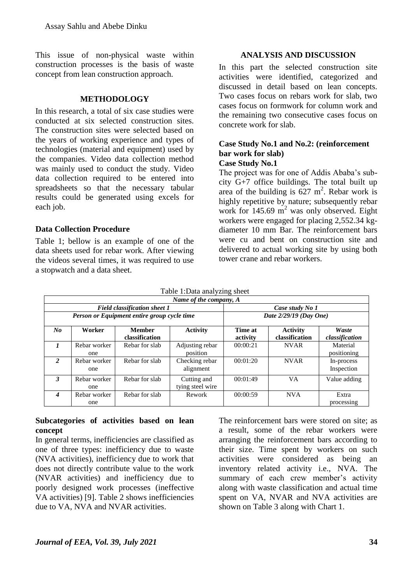This issue of non-physical waste within construction processes is the basis of waste concept from lean construction approach.

## **METHODOLOGY**

In this research, a total of six case studies were conducted at six selected construction sites. The construction sites were selected based on the years of working experience and types of technologies (material and equipment) used by the companies. Video data collection method was mainly used to conduct the study. Video data collection required to be entered into spreadsheets so that the necessary tabular results could be generated using excels for each job.

## **Data Collection Procedure**

Table 1; bellow is an example of one of the data sheets used for rebar work. After viewing the videos several times, it was required to use a stopwatch and a data sheet.

## **ANALYSIS AND DISCUSSION**

In this part the selected construction site activities were identified, categorized and discussed in detail based on lean concepts. Two cases focus on rebars work for slab, two cases focus on formwork for column work and the remaining two consecutive cases focus on concrete work for slab.

#### **Case Study No.1 and No.2: (reinforcement bar work for slab) Case Study No.1**

The project was for one of Addis Ababa's subcity G+7 office buildings. The total built up area of the building is  $627 \text{ m}^2$ . Rebar work is highly repetitive by nature; subsequently rebar work for  $145.69 \text{ m}^2$  was only observed. Eight workers were engaged for placing 2,552.34 kgdiameter 10 mm Bar. The reinforcement bars were cu and bent on construction site and delivered to actual working site by using both tower crane and rebar workers.

|                  | Table 1:Data analyzing sheet<br>Name of the company, A |                                                                                    |                                             |                     |                                   |                          |  |  |  |
|------------------|--------------------------------------------------------|------------------------------------------------------------------------------------|---------------------------------------------|---------------------|-----------------------------------|--------------------------|--|--|--|
|                  |                                                        | <b>Field classification sheet 1</b><br>Person or Equipment entire group cycle time | Case study No 1<br>Date $2/29/19$ (Day One) |                     |                                   |                          |  |  |  |
| $\bm{N}$         | Worker                                                 | <b>Member</b><br>classification                                                    | <b>Activity</b>                             | Time at<br>activity | <b>Activity</b><br>classification | Waste<br>classification  |  |  |  |
| $\mathbf{I}$     | Rebar worker<br>one                                    | Rebar for slab                                                                     | Adjusting rebar<br>position                 | 00:00:21            | <b>NVAR</b>                       | Material<br>positioning  |  |  |  |
| 2                | Rebar worker<br>one                                    | Rebar for slab                                                                     | Checking rebar<br>alignment                 | 00:01:20            | <b>NVAR</b>                       | In-process<br>Inspection |  |  |  |
| 3                | Rebar worker<br>one                                    | Rebar for slab                                                                     | Cutting and<br>tying steel wire             | 00:01:49            | VA.                               | Value adding             |  |  |  |
| $\boldsymbol{4}$ | Rebar worker<br>one                                    | Rebar for slab                                                                     | Rework                                      | 00:00:59            | <b>NVA</b>                        | Extra<br>processing      |  |  |  |

## Table 1:Data analyzing sheet

### **Subcategories of activities based on lean concept**

In general terms, inefficiencies are classified as one of three types: inefficiency due to waste (NVA activities), inefficiency due to work that does not directly contribute value to the work (NVAR activities) and inefficiency due to poorly designed work processes (ineffective VA activities) [9]. Table 2 shows inefficiencies due to VA, NVA and NVAR activities.

The reinforcement bars were stored on site; as a result, some of the rebar workers were arranging the reinforcement bars according to their size. Time spent by workers on such activities were considered as being an inventory related activity i.e., NVA. The summary of each crew member's activity along with waste classification and actual time spent on VA, NVAR and NVA activities are shown on Table 3 along with Chart 1.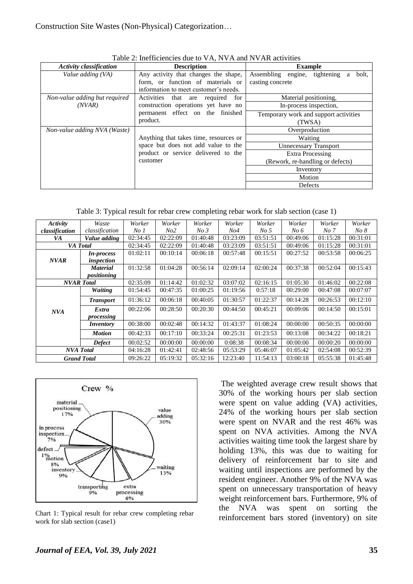| <b>Activity classification</b> | <b>Description</b>                                                        | <b>Example</b>                                                  |  |  |  |  |
|--------------------------------|---------------------------------------------------------------------------|-----------------------------------------------------------------|--|--|--|--|
| Value adding (VA)              | Any activity that changes the shape,<br>form, or function of materials or | Assembling engine, tightening<br>bolt.<br>a<br>casting concrete |  |  |  |  |
|                                | information to meet customer's needs.                                     |                                                                 |  |  |  |  |
| Non-value adding but required  | Activities that are required for                                          | Material positioning,                                           |  |  |  |  |
| (NVAR)                         | construction operations yet have no                                       | In-process inspection,                                          |  |  |  |  |
|                                | permanent effect on the finished<br>product.                              | Temporary work and support activities<br>(TWSA)                 |  |  |  |  |
| Non-value adding NVA (Waste)   |                                                                           | Overproduction                                                  |  |  |  |  |
|                                | Anything that takes time, resources or                                    | Waiting                                                         |  |  |  |  |
|                                | space but does not add value to the                                       | <b>Unnecessary Transport</b>                                    |  |  |  |  |
|                                | product or service delivered to the                                       | <b>Extra Processing</b>                                         |  |  |  |  |
|                                | customer                                                                  | (Rework, re-handling or defects)                                |  |  |  |  |
|                                |                                                                           | Inventory                                                       |  |  |  |  |
|                                |                                                                           | Motion                                                          |  |  |  |  |
|                                |                                                                           | Defects                                                         |  |  |  |  |

Table 2: Inefficiencies due to VA, NVA and NVAR activities

Table 3: Typical result for rebar crew completing rebar work for slab section (case 1)

| Activity          | Waste              | Worker          | Worker   | Worker          | Worker          | Worker          | Worker   | Worker   | Worker   |
|-------------------|--------------------|-----------------|----------|-----------------|-----------------|-----------------|----------|----------|----------|
| classification    | classification     | No <sub>I</sub> | No2      | No <sub>3</sub> | N <sub>04</sub> | No <sub>5</sub> | $No\ 6$  | No 7     | No 8     |
| VA                | Value adding       | 02:34:45        | 02:22:09 | 01:40:48        | 03:23:09        | 03:51:51        | 00:49:06 | 01:15:28 | 00:31:01 |
|                   | VA Total           | 02:34:45        | 02:22:09 | 01:40:48        | 03:23:09        | 03:51:51        | 00:49:06 | 01:15:28 | 00:31:01 |
|                   | <i>In-process</i>  | 01:02:11        | 00:10:14 | 00:06:18        | 00:57:48        | 00:15:51        | 00:27:52 | 00:53:58 | 00:06:25 |
| <b>NVAR</b>       | inspection         |                 |          |                 |                 |                 |          |          |          |
|                   | <b>Material</b>    | 01:32:58        | 01:04:28 | 00:56:14        | 02:09:14        | 02:00:24        | 00:37:38 | 00:52:04 | 00:15:43 |
|                   | positioning        |                 |          |                 |                 |                 |          |          |          |
| <b>NVAR</b> Total |                    | 02:35:09        | 01:14:42 | 01:02:32        | 03:07:02        | 02:16:15        | 01:05:30 | 01:46:02 | 00:22:08 |
|                   | <b>Waiting</b>     | 01:54:45        | 00:47:35 | 01:00:25        | 01:19:56        | 0:57:18         | 00:29:00 | 00:47:08 | 00:07:07 |
|                   | <b>Transport</b>   | 01:36:12        | 00:06:18 | 00:40:05        | 01:30:57        | 01:22:37        | 00:14:28 | 00:26:53 | 00:12:10 |
| <b>NVA</b>        | Extra              | 00:22:06        | 00:28:50 | 00:20:30        | 00:44:50        | 00:45:21        | 00:09:06 | 00:14:50 | 00:15:01 |
|                   | processing         |                 |          |                 |                 |                 |          |          |          |
|                   | <i>Inventory</i>   | 00:38:00        | 00:02:48 | 00:14:32        | 01:43:37        | 01:08:24        | 00:00:00 | 00:50:35 | 00:00:00 |
|                   | <b>Motion</b>      | 00:42:33        | 00:17:10 | 00:33:24        | 00:25:31        | 01:23:53        | 00:13:08 | 00:34:22 | 00:18:21 |
|                   | <b>Defect</b>      | 00:02:52        | 00:00:00 | 00:00:00        | 0:08:38         | 00:08:34        | 00:00:00 | 00:00:20 | 00:00:00 |
| <b>NVA</b> Total  |                    | 04:16:28        | 01:42:41 | 02:48:56        | 05:53:29        | 05:46:07        | 01:05:42 | 02:54:08 | 00:52:39 |
|                   | <b>Grand Total</b> | 09:26:22        | 05:19:32 | 05:32:16        | 12:23:40        | 11:54:13        | 03:00:18 | 05:55:38 | 01:45:48 |



Chart 1: Typical result for rebar crew completing rebar work for slab section (case1)

The weighted average crew result shows that 30% of the working hours per slab section were spent on value adding (VA) activities, 24% of the working hours per slab section were spent on NVAR and the rest 46% was spent on NVA activities. Among the NVA activities waiting time took the largest share by holding 13%, this was due to waiting for delivery of reinforcement bar to site and waiting until inspections are performed by the resident engineer. Another 9% of the NVA was spent on unnecessary transportation of heavy weight reinforcement bars. Furthermore, 9% of the NVA was spent on sorting the reinforcement bars stored (inventory) on site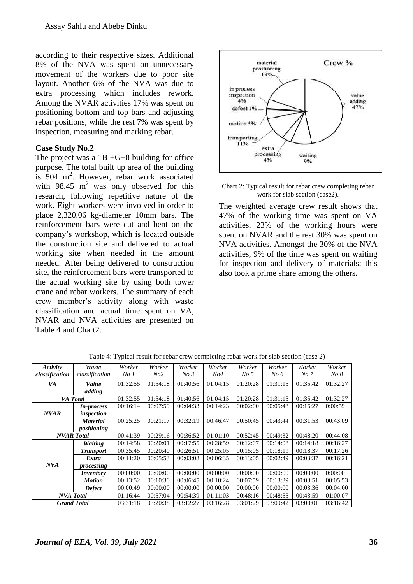according to their respective sizes. Additional 8% of the NVA was spent on unnecessary movement of the workers due to poor site layout. Another 6% of the NVA was due to extra processing which includes rework. Among the NVAR activities 17% was spent on positioning bottom and top bars and adjusting rebar positions, while the rest 7% was spent by inspection, measuring and marking rebar.

### **Case Study No.2**

The project was a  $1B + G + 8$  building for office purpose. The total built up area of the building is 504 m<sup>2</sup>. However, rebar work associated with 98.45  $m^2$  was only observed for this research, following repetitive nature of the work. Eight workers were involved in order to place 2,320.06 kg-diameter 10mm bars. The reinforcement bars were cut and bent on the company's workshop, which is located outside the construction site and delivered to actual working site when needed in the amount needed. After being delivered to construction site, the reinforcement bars were transported to the actual working site by using both tower crane and rebar workers. The summary of each crew member's activity along with waste classification and actual time spent on VA, NVAR and NVA activities are presented on Table 4 and Chart2.





The weighted average crew result shows that 47% of the working time was spent on VA activities, 23% of the working hours were spent on NVAR and the rest 30% was spent on NVA activities. Amongst the 30% of the NVA activities, 9% of the time was spent on waiting for inspection and delivery of materials; this also took a prime share among the others.

| Activity       | Waste              | Worker          | Worker   | Worker          | Worker          | Worker          | Worker   | Worker   | Worker   |
|----------------|--------------------|-----------------|----------|-----------------|-----------------|-----------------|----------|----------|----------|
| classification | classification     | No <sub>1</sub> | No2      | No <sub>3</sub> | N <sub>04</sub> | No <sub>5</sub> | No 6     | No 7     | No 8     |
| VA             | Value              | 01:32:55        | 01:54:18 | 01:40:56        | 01:04:15        | 01:20:28        | 01:31:15 | 01:35:42 | 01:32:27 |
|                | adding             |                 |          |                 |                 |                 |          |          |          |
|                | VA Total           | 01:32:55        | 01:54:18 | 01:40:56        | 01:04:15        | 01:20:28        | 01:31:15 | 01:35:42 | 01:32:27 |
|                | <i>In-process</i>  | 00:16:14        | 00:07:59 | 00:04:33        | 00:14:23        | 00:02:00        | 00:05:48 | 00:16:27 | 0:00:59  |
| <b>NVAR</b>    | inspection         |                 |          |                 |                 |                 |          |          |          |
|                | <b>Material</b>    | 00:25:25        | 00:21:17 | 00:32:19        | 00:46:47        | 00:50:45        | 00:43:44 | 00:31:53 | 00:43:09 |
|                | positioning        |                 |          |                 |                 |                 |          |          |          |
|                | <b>NVAR</b> Total  | 00:41:39        | 00:29:16 | 00:36:52        | 01:01:10        | 00:52:45        | 00:49:32 | 00:48:20 | 00:44:08 |
|                | <b>Waiting</b>     | 00:14:58        | 00:20:01 | 00:17:55        | 00:28:59        | 00:12:07        | 00:14:08 | 00:14:18 | 00:16:27 |
|                | <b>Transport</b>   | 00:35:45        | 00:20:40 | 00:26:51        | 00:25:05        | 00:15:05        | 00:18:19 | 00:18:37 | 00:17:26 |
|                | Extra              | 00:11:20        | 00:05:53 | 00:03:08        | 00:06:35        | 00:13:05        | 00:02:49 | 00:03:37 | 00:16:21 |
| NVA            | processing         |                 |          |                 |                 |                 |          |          |          |
|                | <i>Inventory</i>   | 00:00:00        | 00:00:00 | 00:00:00        | 00:00:00        | 00:00:00        | 00:00:00 | 00:00:00 | 0:00:00  |
|                | <b>Motion</b>      | 00:13:52        | 00:10:30 | 00:06:45        | 00:10:24        | 00:07:59        | 00:13:39 | 00:03:51 | 00:05:53 |
|                | <b>Defect</b>      | 00:00:49        | 00:00:00 | 00:00:00        | 00:00:00        | 00:00:00        | 00:00:00 | 00:03:36 | 00:04:00 |
|                | <b>NVA</b> Total   | 01:16:44        | 00:57:04 | 00:54:39        | 01:11:03        | 00:48:16        | 00:48:55 | 00:43:59 | 01:00:07 |
|                | <b>Grand Total</b> | 03:31:18        | 03:20:38 | 03:12:27        | 03:16:28        | 03:01:29        | 03:09:42 | 03:08:01 | 03:16:42 |

Table 4: Typical result for rebar crew completing rebar work for slab section (case 2)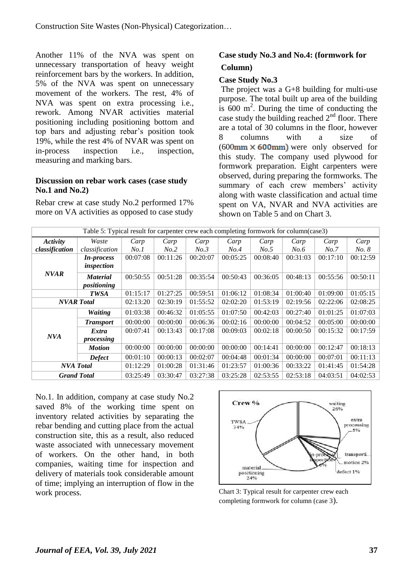Another 11% of the NVA was spent on unnecessary transportation of heavy weight reinforcement bars by the workers. In addition, 5% of the NVA was spent on unnecessary movement of the workers. The rest, 4% of NVA was spent on extra processing i.e., rework. Among NVAR activities material positioning including positioning bottom and top bars and adjusting rebar's position took 19%, while the rest 4% of NVAR was spent on in-process inspection i.e., inspection, measuring and marking bars.

### **Discussion on rebar work cases (case study No.1 and No.2)**

Rebar crew at case study No.2 performed 17% more on VA activities as opposed to case study

# **Case study No.3 and No.4: (formwork for Column)**

## **Case Study No.3**

The project was a G+8 building for multi-use purpose. The total built up area of the building is  $600 \text{ m}^2$ . During the time of conducting the case study the building reached  $2<sup>nd</sup>$  floor. There are a total of 30 columns in the floor, however 8 columns with a size of  $(600 \text{mm} \times 600 \text{mm})$  were only observed for this study. The company used plywood for formwork preparation. Eight carpenters were observed, during preparing the formworks. The summary of each crew members' activity along with waste classification and actual time spent on VA, NVAR and NVA activities are shown on Table 5 and on Chart 3.

| Table 5: Typical result for carpenter crew each completing formwork for column(case3) |                    |          |          |          |          |          |          |          |              |
|---------------------------------------------------------------------------------------|--------------------|----------|----------|----------|----------|----------|----------|----------|--------------|
| Activity                                                                              | Waste              | Carp     | Carp     | Carp     | Carp     | Carp     | Carp     | Carp     | Carp         |
| classification                                                                        | classification     | No.1     | No.2     | No.3     | No.4     | No.5     | No.6     | No.7     | <i>No. 8</i> |
|                                                                                       | <i>In-process</i>  | 00:07:08 | 00:11:26 | 00:20:07 | 00:05:25 | 00:08:40 | 00:31:03 | 00:17:10 | 00:12:59     |
|                                                                                       | inspection         |          |          |          |          |          |          |          |              |
| <b>NVAR</b>                                                                           | <b>Material</b>    | 00:50:55 | 00:51:28 | 00:35:54 | 00:50:43 | 00:36:05 | 00:48:13 | 00:55:56 | 00:50:11     |
|                                                                                       | positioning        |          |          |          |          |          |          |          |              |
|                                                                                       | <b>TWSA</b>        | 01:15:17 | 01:27:25 | 00:59:51 | 01:06:12 | 01:08:34 | 01:00:40 | 01:09:00 | 01:05:15     |
|                                                                                       | <b>NVAR</b> Total  | 02:13:20 | 02:30:19 | 01:55:52 | 02:02:20 | 01:53:19 | 02:19:56 | 02:22:06 | 02:08:25     |
|                                                                                       | <b>Waiting</b>     | 01:03:38 | 00:46:32 | 01:05:55 | 01:07:50 | 00:42:03 | 00:27:40 | 01:01:25 | 01:07:03     |
|                                                                                       | <b>Transport</b>   | 00:00:00 | 00:00:00 | 00:06:36 | 00:02:16 | 00:00:00 | 00:04:52 | 00:05:00 | 00:00:00     |
|                                                                                       | <i>Extra</i>       | 00:07:41 | 00:13:43 | 00:17:08 | 00:09:03 | 00:02:18 | 00:00:50 | 00:15:32 | 00:17:59     |
| NVA                                                                                   | processing         |          |          |          |          |          |          |          |              |
|                                                                                       | <b>Motion</b>      | 00:00:00 | 00:00:00 | 00:00:00 | 00:00:00 | 00:14:41 | 00:00:00 | 00:12:47 | 00:18:13     |
|                                                                                       | <b>Defect</b>      | 00:01:10 | 00:00:13 | 00:02:07 | 00:04:48 | 00:01:34 | 00:00:00 | 00:07:01 | 00:11:13     |
| <b>NVA</b> Total                                                                      |                    | 01:12:29 | 01:00:28 | 01:31:46 | 01:23:57 | 01:00:36 | 00:33:22 | 01:41:45 | 01:54:28     |
|                                                                                       | <b>Grand Total</b> | 03:25:49 | 03:30:47 | 03:27:38 | 03:25:28 | 02:53:55 | 02:53:18 | 04:03:51 | 04:02:53     |

No.1. In addition, company at case study No.2 saved 8% of the working time spent on inventory related activities by separating the rebar bending and cutting place from the actual construction site, this as a result, also reduced waste associated with unnecessary movement of workers. On the other hand, in both companies, waiting time for inspection and delivery of materials took considerable amount of time; implying an interruption of flow in the work process.



Chart 3: Typical result for carpenter crew each completing formwork for column (case 3).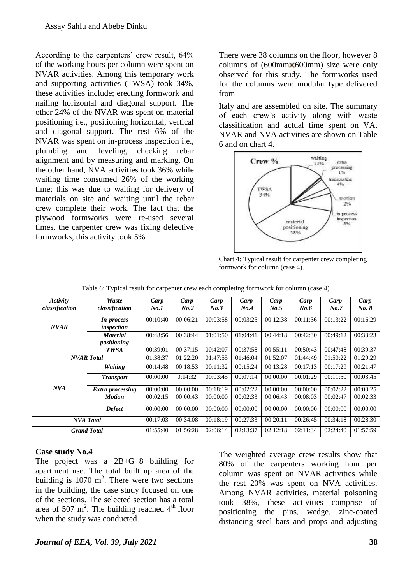According to the carpenters' crew result, 64% of the working hours per column were spent on NVAR activities. Among this temporary work and supporting activities (TWSA) took 34%, these activities include; erecting formwork and nailing horizontal and diagonal support. The other 24% of the NVAR was spent on material positioning i.e., positioning horizontal, vertical and diagonal support. The rest 6% of the NVAR was spent on in-process inspection i.e., plumbing and leveling, checking rebar alignment and by measuring and marking. On the other hand, NVA activities took 36% while waiting time consumed 26% of the working time; this was due to waiting for delivery of materials on site and waiting until the rebar crew complete their work. The fact that the plywood formworks were re-used several times, the carpenter crew was fixing defective formworks, this activity took 5%.

There were 38 columns on the floor, however 8 columns of  $(600 \text{mm} \times 600 \text{mm})$  size were only observed for this study. The formworks used for the columns were modular type delivered from

Italy and are assembled on site. The summary of each crew's activity along with waste classification and actual time spent on VA, NVAR and NVA activities are shown on Table 6 and on chart 4.



Chart 4: Typical result for carpenter crew completing formwork for column (case 4).

| Activity<br>classification | Waste<br>classification         | Carp<br>No.1 | Carp<br>No.2 | Carp<br>No.3 | Carp<br>No.4 | Carp<br>No.5 | Carp<br>No.6 | Carp<br>No.7 | Carp<br>No. 8 |
|----------------------------|---------------------------------|--------------|--------------|--------------|--------------|--------------|--------------|--------------|---------------|
| <b>NVAR</b>                | <i>In-process</i><br>inspection | 00:10:40     | 00:06:21     | 00:03:58     | 00:03:25     | 00:12:38     | 00:11:36     | 00:13:22     | 00:16:29      |
|                            | <b>Material</b><br>positioning  | 00:48:56     | 00:38:44     | 01:01:50     | 01:04:41     | 00:44:18     | 00:42:30     | 00:49:12     | 00:33:23      |
|                            | <b>TWSA</b>                     | 00:39:01     | 00:37:15     | 00:42:07     | 00:37:58     | 00:55:11     | 00:50:43     | 00:47:48     | 00:39:37      |
|                            | <b>NVAR</b> Total               | 01:38:37     | 01:22:20     | 01:47:55     | 01:46:04     | 01:52:07     | 01:44:49     | 01:50:22     | 01:29:29      |
|                            | <b>Waiting</b>                  | 00:14:48     | 00:18:53     | 00:11:32     | 00:15:24     | 00:13:28     | 00:17:13     | 00:17:29     | 00:21:47      |
|                            | <b>Transport</b>                | 00:00:00     | 0:14:32      | 00:03:45     | 00:07:14     | 00:00:00     | 00:01:29     | 00:11:50     | 00:03:45      |
| <b>NVA</b>                 | Extra processing                | 00:00:00     | 00:00:00     | 00:18:19     | 00:02:22     | 00:00:00     | 00:00:00     | 00:02:22     | 00:00:25      |
|                            | <b>Motion</b>                   | 00:02:15     | 00:00:43     | 00:00:00     | 00:02:33     | 00:06:43     | 00:08:03     | 00:02:47     | 00:02:33      |
|                            | <b>Defect</b>                   | 00:00:00     | 00:00:00     | 00:00:00     | 00:00:00     | 00:00:00     | 00:00:00     | 00:00:00     | 00:00:00      |
|                            | <b>NVA</b> Total                |              | 00:34:08     | 00:18:19     | 00:27:33     | 00:20:11     | 00:26:45     | 00:34:18     | 00:28:30      |
| <b>Grand Total</b>         |                                 | 01:55:40     | 01:56:28     | 02:06:14     | 02:13:37     | 02:12:18     | 02:11:34     | 02:24:40     | 01:57:59      |

Table 6: Typical result for carpenter crew each completing formwork for column (case 4)

#### **Case study No.4**

The project was a 2B+G+8 building for apartment use. The total built up area of the building is  $1070 \text{ m}^2$ . There were two sections in the building, the case study focused on one of the sections. The selected section has a total area of 507 m<sup>2</sup>. The building reached  $4<sup>th</sup>$  floor when the study was conducted.

The weighted average crew results show that 80% of the carpenters working hour per column was spent on NVAR activities while the rest 20% was spent on NVA activities. Among NVAR activities, material poisoning took 38%, these activities comprise of positioning the pins, wedge, zinc-coated distancing steel bars and props and adjusting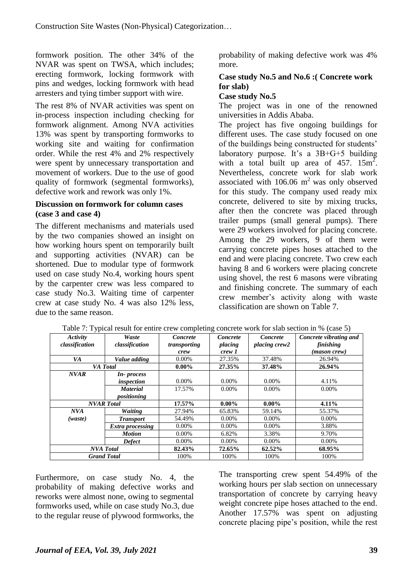formwork position. The other 34% of the NVAR was spent on TWSA, which includes; erecting formwork, locking formwork with pins and wedges, locking formwork with head arresters and tying timber support with wire.

The rest 8% of NVAR activities was spent on in-process inspection including checking for formwork alignment. Among NVA activities 13% was spent by transporting formworks to working site and waiting for confirmation order. While the rest 4% and 2% respectively were spent by unnecessary transportation and movement of workers. Due to the use of good quality of formwork (segmental formworks), defective work and rework was only 1%.

### **Discussion on formwork for column cases (case 3 and case 4)**

The different mechanisms and materials used by the two companies showed an insight on how working hours spent on temporarily built and supporting activities (NVAR) can be shortened. Due to modular type of formwork used on case study No.4, working hours spent by the carpenter crew was less compared to case study No.3. Waiting time of carpenter crew at case study No. 4 was also 12% less, due to the same reason.

probability of making defective work was 4% more.

## **Case study No.5 and No.6 :( Concrete work for slab)**

#### **Case study No.5**

The project was in one of the renowned universities in Addis Ababa.

The project has five ongoing buildings for different uses. The case study focused on one of the buildings being constructed for students' laboratory purpose. It's a 3B+G+5 building with a total built up area of  $457. 15 \text{m}^2$ . Nevertheless, concrete work for slab work associated with  $106.06 \text{ m}^2$  was only observed for this study. The company used ready mix concrete, delivered to site by mixing trucks, after then the concrete was placed through trailer pumps (small general pumps). There were 29 workers involved for placing concrete. Among the 29 workers, 9 of them were carrying concrete pipes hoses attached to the end and were placing concrete. Two crew each having 8 and 6 workers were placing concrete using shovel, the rest 6 masons were vibrating and finishing concrete. The summary of each crew member's activity along with waste classification are shown on Table 7.

| Activity           | Waste            | Concrete     | <b>Concrete</b> | Concrete      | Concrete vibrating and |
|--------------------|------------------|--------------|-----------------|---------------|------------------------|
| classification     | classification   | transporting | placing         | placing crew2 | finishing              |
|                    |                  | crew         | crew 1          |               | (mason crew)           |
| VA                 | Value adding     | $0.00\%$     | 27.35%          | 37.48%        | 26.94%                 |
|                    | VA Total         | $0.00\%$     | 27.35%          | 37.48%        | 26.94%                 |
| <b>NVAR</b>        | In-process       |              |                 |               |                        |
|                    | inspection       | $0.00\%$     | $0.00\%$        | $0.00\%$      | 4.11%                  |
|                    | <b>Material</b>  | 17.57%       | $0.00\%$        | $0.00\%$      | $0.00\%$               |
|                    | positioning      |              |                 |               |                        |
| <b>NVAR</b> Total  |                  | 17.57%       | $0.00\%$        | $0.00\%$      | $4.11\%$               |
| NVA                | <b>Waiting</b>   | 27.94%       | 65.83%          | 59.14%        | 55.37%                 |
| (waste)            | <b>Transport</b> | 54.49%       | $0.00\%$        | $0.00\%$      | $0.00\%$               |
|                    | Extra processing | $0.00\%$     | $0.00\%$        | $0.00\%$      | 3.88%                  |
|                    | <b>Motion</b>    | 0.00%        | 6.82%           | 3.38%         | 9.70%                  |
|                    | <b>Defect</b>    | $0.00\%$     | $0.00\%$        | $0.00\%$      | $0.00\%$               |
| <b>NVA</b> Total   |                  | 82.43%       | 72.65%          | 62.52%        | 68.95%                 |
| <b>Grand Total</b> |                  | 100%         | 100%            | 100%          | 100%                   |

| Table 7: Typical result for entire crew completing concrete work for slab section in % (case 5) |  |  |  |  |  |
|-------------------------------------------------------------------------------------------------|--|--|--|--|--|
|-------------------------------------------------------------------------------------------------|--|--|--|--|--|

Furthermore, on case study No. 4, the probability of making defective works and reworks were almost none, owing to segmental formworks used, while on case study No.3, due to the regular reuse of plywood formworks, the

The transporting crew spent 54.49% of the working hours per slab section on unnecessary transportation of concrete by carrying heavy weight concrete pipe hoses attached to the end. Another 17.57% was spent on adjusting concrete placing pipe's position, while the rest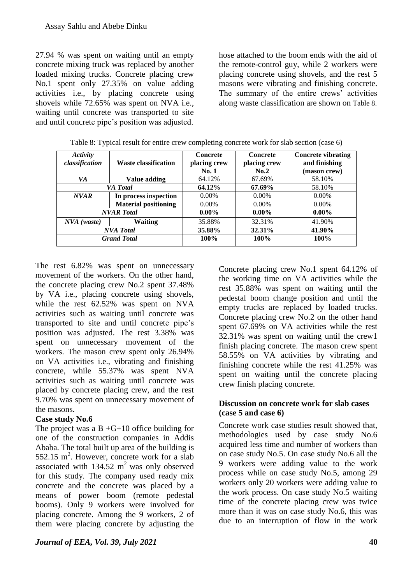27.94 % was spent on waiting until an empty concrete mixing truck was replaced by another loaded mixing trucks. Concrete placing crew No.1 spent only 27.35% on value adding activities i.e., by placing concrete using shovels while 72.65% was spent on NVA i.e., waiting until concrete was transported to site and until concrete pipe's position was adjusted.

hose attached to the boom ends with the aid of the remote-control guy, while 2 workers were placing concrete using shovels, and the rest 5 masons were vibrating and finishing concrete. The summary of the entire crews' activities along waste classification are shown on Table 8.

| Activity<br>classification | <b>Waste classification</b> | <b>Concrete</b><br>placing crew<br>No.1 | <b>Concrete</b><br>placing crew<br>No.2 | <b>Concrete vibrating</b><br>and finishing<br>(mason crew) |
|----------------------------|-----------------------------|-----------------------------------------|-----------------------------------------|------------------------------------------------------------|
| VA                         | Value adding                | 64.12%                                  | 67.69%                                  | 58.10%                                                     |
| <b>VA</b> Total            |                             | 64.12%                                  | 67.69%                                  | 58.10%                                                     |
| NVAR                       | In process inspection       | $0.00\%$                                | $0.00\%$                                | $0.00\%$                                                   |
|                            | <b>Material positioning</b> | $0.00\%$                                | $0.00\%$                                | $0.00\%$                                                   |
|                            | <b>NVAR</b> Total           | $0.00\%$                                | $0.00\%$                                | $0.00\%$                                                   |
| NVA (waste)                | Waiting                     | 35.88%                                  | 32.31%                                  | 41.90%                                                     |
|                            | <b>NVA</b> Total            | 35.88%                                  | 32.31%                                  | 41.90%                                                     |
|                            | <b>Grand Total</b>          | 100%                                    | 100%                                    | 100%                                                       |

Table 8: Typical result for entire crew completing concrete work for slab section (case 6)

The rest 6.82% was spent on unnecessary movement of the workers. On the other hand, the concrete placing crew No.2 spent 37.48% by VA i.e., placing concrete using shovels, while the rest 62.52% was spent on NVA activities such as waiting until concrete was transported to site and until concrete pipe's position was adjusted. The rest 3.38% was spent on unnecessary movement of the workers. The mason crew spent only 26.94% on VA activities i.e., vibrating and finishing concrete, while 55.37% was spent NVA activities such as waiting until concrete was placed by concrete placing crew, and the rest 9.70% was spent on unnecessary movement of the masons.

### **Case study No.6**

The project was a  $B + G + 10$  office building for one of the construction companies in Addis Ababa. The total built up area of the building is  $552.15$  m<sup>2</sup>. However, concrete work for a slab associated with  $134.52 \text{ m}^2$  was only observed for this study. The company used ready mix concrete and the concrete was placed by a means of power boom (remote pedestal booms). Only 9 workers were involved for placing concrete. Among the 9 workers, 2 of them were placing concrete by adjusting the

*Journal of EEA, Vol. 39, July 2021* **40**

Concrete placing crew No.1 spent 64.12% of the working time on VA activities while the rest 35.88% was spent on waiting until the pedestal boom change position and until the empty trucks are replaced by loaded trucks. Concrete placing crew No.2 on the other hand spent 67.69% on VA activities while the rest 32.31% was spent on waiting until the crew1 finish placing concrete. The mason crew spent 58.55% on VA activities by vibrating and finishing concrete while the rest 41.25% was spent on waiting until the concrete placing crew finish placing concrete.

### **Discussion on concrete work for slab cases (case 5 and case 6)**

Concrete work case studies result showed that, methodologies used by case study No.6 acquired less time and number of workers than on case study No.5. On case study No.6 all the 9 workers were adding value to the work process while on case study No.5, among 29 workers only 20 workers were adding value to the work process. On case study No.5 waiting time of the concrete placing crew was twice more than it was on case study No.6, this was due to an interruption of flow in the work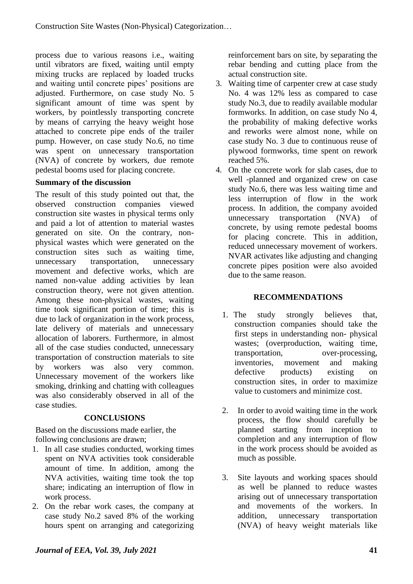process due to various reasons i.e., waiting until vibrators are fixed, waiting until empty mixing trucks are replaced by loaded trucks and waiting until concrete pipes' positions are adjusted. Furthermore, on case study No. 5 significant amount of time was spent by workers, by pointlessly transporting concrete by means of carrying the heavy weight hose attached to concrete pipe ends of the trailer pump. However, on case study No.6, no time was spent on unnecessary transportation (NVA) of concrete by workers, due remote pedestal booms used for placing concrete.

### **Summary of the discussion**

The result of this study pointed out that, the observed construction companies viewed construction site wastes in physical terms only and paid a lot of attention to material wastes generated on site. On the contrary, nonphysical wastes which were generated on the construction sites such as waiting time, unnecessary transportation, unnecessary movement and defective works, which are named non-value adding activities by lean construction theory, were not given attention. Among these non-physical wastes, waiting time took significant portion of time; this is due to lack of organization in the work process, late delivery of materials and unnecessary allocation of laborers. Furthermore, in almost all of the case studies conducted, unnecessary transportation of construction materials to site by workers was also very common. Unnecessary movement of the workers like smoking, drinking and chatting with colleagues was also considerably observed in all of the case studies.

### **CONCLUSIONS**

Based on the discussions made earlier, the following conclusions are drawn;

- 1. In all case studies conducted, working times spent on NVA activities took considerable amount of time. In addition, among the NVA activities, waiting time took the top share; indicating an interruption of flow in work process.
- 2. On the rebar work cases, the company at case study No.2 saved 8% of the working hours spent on arranging and categorizing

reinforcement bars on site, by separating the rebar bending and cutting place from the actual construction site.

- 3. Waiting time of carpenter crew at case study No. 4 was 12% less as compared to case study No.3, due to readily available modular formworks. In addition, on case study No 4, the probability of making defective works and reworks were almost none, while on case study No. 3 due to continuous reuse of plywood formworks, time spent on rework reached 5%.
- 4. On the concrete work for slab cases, due to well -planned and organized crew on case study No.6, there was less waiting time and less interruption of flow in the work process. In addition, the company avoided unnecessary transportation (NVA) of concrete, by using remote pedestal booms for placing concrete. This in addition, reduced unnecessary movement of workers. NVAR activates like adjusting and changing concrete pipes position were also avoided due to the same reason.

### **RECOMMENDATIONS**

- 1. The study strongly believes that, construction companies should take the first steps in understanding non- physical wastes; (overproduction, waiting time, transportation, over-processing, inventories, movement and making defective products) existing on construction sites, in order to maximize value to customers and minimize cost.
- 2. In order to avoid waiting time in the work process, the flow should carefully be planned starting from inception to completion and any interruption of flow in the work process should be avoided as much as possible.
- 3. Site layouts and working spaces should as well be planned to reduce wastes arising out of unnecessary transportation and movements of the workers. In addition, unnecessary transportation (NVA) of heavy weight materials like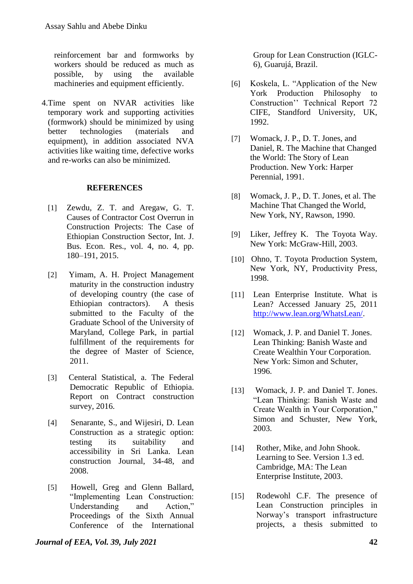reinforcement bar and formworks by workers should be reduced as much as possible, by using the available machineries and equipment efficiently.

4.Time spent on NVAR activities like temporary work and supporting activities (formwork) should be minimized by using better technologies (materials and equipment), in addition associated NVA activities like waiting time, defective works and re-works can also be minimized.

#### **REFERENCES**

- [1] Zewdu, Z. T. and Aregaw, G. T. Causes of Contractor Cost Overrun in Construction Projects: The Case of Ethiopian Construction Sector, Int. J. Bus. Econ. Res., vol. 4, no. 4, pp. 180–191, 2015.
- [2] Yimam, A. H. Project Management maturity in the construction industry of developing country (the case of Ethiopian contractors). A thesis submitted to the Faculty of the Graduate School of the University of Maryland, College Park, in partial fulfillment of the requirements for the degree of Master of Science, 2011.
- [3] Centeral Statistical, a. The Federal Democratic Republic of Ethiopia. Report on Contract construction survey, 2016.
- [4] Senarante, S., and Wijesiri, D. Lean Construction as a strategic option: testing its suitability and accessibility in Sri Lanka. Lean construction Journal, 34-48, and 2008.
- [5] Howell, Greg and Glenn Ballard, "Implementing Lean Construction: Understanding and Action," Proceedings of the Sixth Annual Conference of the International

Group for Lean Construction (IGLC-6), Guarujá, Brazil.

- [6] Koskela, L. "Application of the New York Production Philosophy to Construction'' Technical Report 72 CIFE, Standford University, UK, 1992.
- [7] Womack, J. P., D. T. Jones, and Daniel, R. The Machine that Changed the World: The Story of Lean Production. New York: Harper Perennial, 1991.
- [8] Womack, J. P., D. T. Jones, et al. The Machine That Changed the World, New York, NY, Rawson, 1990.
- [9] Liker, Jeffrey K. The Toyota Way. New York: McGraw-Hill, 2003.
- [10] Ohno, T. Toyota Production System, New York, NY, Productivity Press, 1998.
- [11] Lean Enterprise Institute. What is Lean? Accessed January 25, 2011 [http://www.lean.org/WhatsLean/.](http://www.lean.org/WhatsLean/)
- [12] Womack, J. P. and Daniel T. Jones. Lean Thinking: Banish Waste and Create Wealthin Your Corporation. New York: Simon and Schuter, 1996.
- [13] Womack, J. P. and Daniel T. Jones. "Lean Thinking: Banish Waste and Create Wealth in Your Corporation," Simon and Schuster, New York, 2003.
- [14] Rother, Mike, and John Shook. Learning to See. Version 1.3 ed. Cambridge, MA: The Lean Enterprise Institute, 2003.
- [15] Rodewohl C.F. The presence of Lean Construction principles in Norway's transport infrastructure projects, a thesis submitted to

*Journal of EEA, Vol. 39, July 2021* **42**